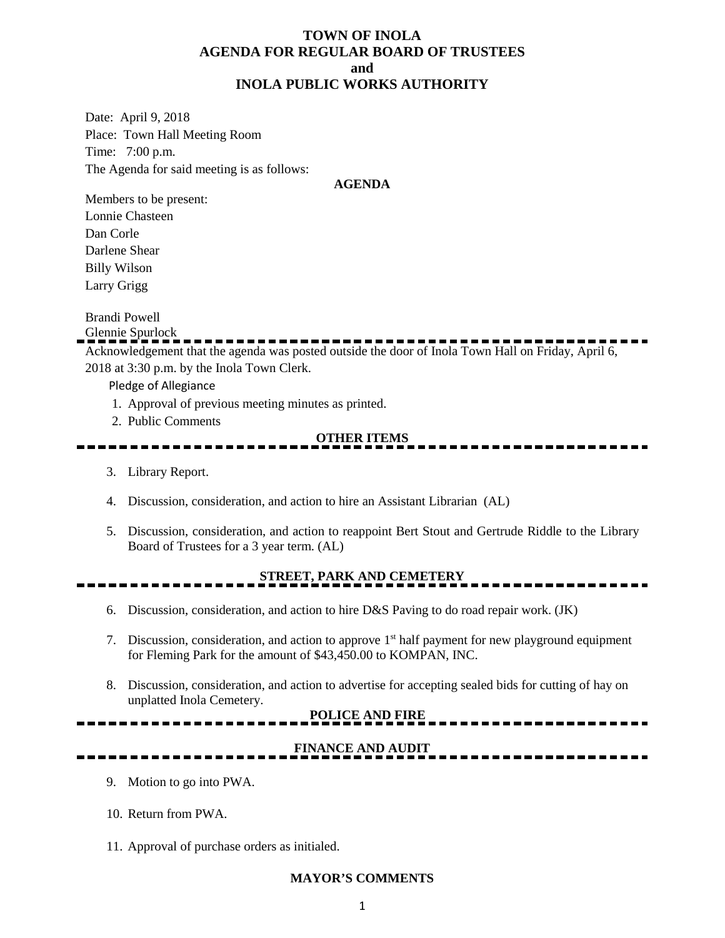### **TOWN OF INOLA AGENDA FOR REGULAR BOARD OF TRUSTEES and INOLA PUBLIC WORKS AUTHORITY**

Date: April 9, 2018 Place: Town Hall Meeting Room Time: 7:00 p.m. The Agenda for said meeting is as follows:

#### **AGENDA**

Members to be present: Lonnie Chasteen Dan Corle Darlene Shear Billy Wilson Larry Grigg

Brandi Powell

Glennie Spurlock

Acknowledgement that the agenda was posted outside the door of Inola Town Hall on Friday, April 6, 2018 at 3:30 p.m. by the Inola Town Clerk.

Pledge of Allegiance

- 1. Approval of previous meeting minutes as printed.
- 2. Public Comments

### **OTHER ITEMS**

- 3. Library Report.
- 4. Discussion, consideration, and action to hire an Assistant Librarian (AL)
- 5. Discussion, consideration, and action to reappoint Bert Stout and Gertrude Riddle to the Library Board of Trustees for a 3 year term. (AL)

## **STREET, PARK AND CEMETERY**

- 6. Discussion, consideration, and action to hire D&S Paving to do road repair work. (JK)
- 7. Discussion, consideration, and action to approve 1st half payment for new playground equipment for Fleming Park for the amount of \$43,450.00 to KOMPAN, INC.
- 8. Discussion, consideration, and action to advertise for accepting sealed bids for cutting of hay on unplatted Inola Cemetery.

# **POLICE AND FIRE**

## **FINANCE AND AUDIT**

--------

- 9. Motion to go into PWA.
- 10. Return from PWA.
- 11. Approval of purchase orders as initialed.

### **MAYOR'S COMMENTS**